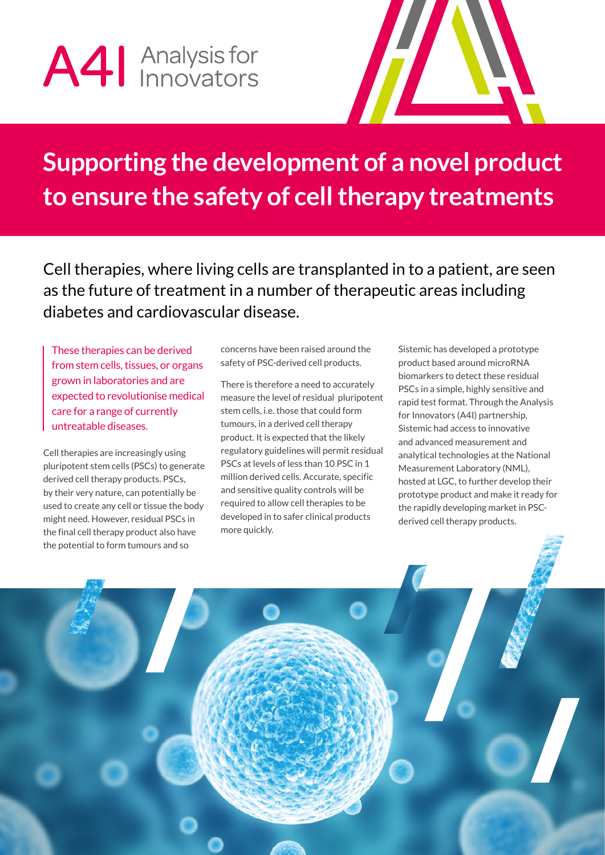# A41 Analysis for



## **Supporting the development of a novel product to ensure the safety of cell therapy treatments**

Cell therapies, where living cells are transplanted in to a patient, are seen as the future of treatment in a number of therapeutic areas including diabetes and cardiovascular disease.

These therapies can be derived from stem cells, tissues, or organs grown in laboratories and are expected to revolutionise medical care for a range of currently untreatable diseases.

Cell therapies are increasingly using pluripotent stem cells (PSCs) to generate derived cell therapy products. PSCs, by their very nature, can potentially be used to create any cell or tissue the body might need. However, residual PSCs in the final cell therapy product also have the potential to form tumours and so

concerns have been raised around the safety of PSC-derived cell products.

There is therefore a need to accurately measure the level of residual pluripotent stem cells, i.e. those that could form tumours, in a derived cell therapy product. It is expected that the likely regulatory guidelines will permit residual PSCs at levels of less than 10 PSC in 1 million derived cells. Accurate, specific and sensitive quality controls will be required to allow cell therapies to be developed in to safer clinical products more quickly.

Sistemic has developed a prototype product based around microRNA biomarkers to detect these residual PSCs in a simple, highly sensitive and rapid test format. Through the Analysis for Innovators (A4I) partnership, Sistemic had access to innovative and advanced measurement and analytical technologies at the National Measurement Laboratory (NML), hosted at LGC, to further develop their prototype product and make it ready for the rapidly developing market in PSCderived cell therapy products.